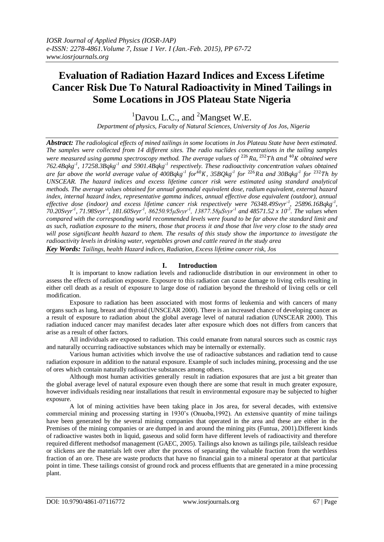# **Evaluation of Radiation Hazard Indices and Excess Lifetime Cancer Risk Due To Natural Radioactivity in Mined Tailings in Some Locations in JOS Plateau State Nigeria**

 $1$ Davou L.C., and  $2$ Mangset W.E.

*Department of physics, Faculty of Natural Sciences, University of Jos Jos, Nigeria*

*Abstract: The radiological effects of mined tailings in some locations in Jos Plateau State have been estimated. The samples were collected from 14 different sites. The radio nuclides concentrations in the tailing samples*  were measured using gamma spectroscopy method. The average values of <sup>226</sup> Ra, <sup>232</sup>Th and <sup>40</sup>K obtained were *762.4Bqkg-1 , 17258.3Bqkg-1 and 5901.4Bqkg-1 respectively. These radioactivity concentration values obtained*  are far above the world average value of  $400Bqkg^{-1}$  for<sup> $40$ </sup>K,  $35BQkg^{-1}$  for  $^{226}$ Ra and  $30Bqkg^{-1}$  for  $^{232}$ Th by *UNSCEAR. The hazard indices and excess lifetime cancer risk were estimated using standard analytical methods. The average values obtained for annual gonnadal equivalent dose, radium equivalent, external hazard index, internal hazard index, representative gamma indices, annual effective dose equivalent (outdoor), annual effective dose (indoor) and excess lifetime cancer risk respectively were 76348.49Svyr-1 , 25896.16Bqkg-1 , 70.20Svyr-1 , 71.98Svyr-1 , 181.60Svyr-1 , 86250.95μSvyr-1 , 13877.58μSvyr-1 and 48571.52 x 10-3 . The values when compared with the corresponding world recommended levels were found to be far above the standard limit and as such, radiation exposure to the miners, those that process it and those that live very close to the study area will pose significant health hazard to them. The results of this study show the importance to investigate the radioactivity levels in drinking water, vegetables grown and cattle reared in the study area Key Words: Tailings, health Hazard indices, Radiation, Excess lifetime cancer risk, Jos*

## **I. Introduction**

It is important to know radiation levels and radionuclide distribution in our environment in other to assess the effects of radiation exposure. Exposure to this radiation can cause damage to living cells resulting in either cell death as a result of exposure to large dose of radiation beyond the threshold of living cells or cell modification.

Exposure to radiation has been associated with most forms of leukemia and with cancers of many organs such as lung, breast and thyroid (UNSCEAR 2000). There is an increased chance of developing cancer as a result of exposure to radiation about the global average level of natural radiation (UNSCEAR 2000). This radiation induced cancer may manifest decades later after exposure which does not differs from cancers that arise as a result of other factors.

All individuals are exposed to radiation. This could emanate from natural sources such as cosmic rays and naturally occurring radioactive substances which may be internally or externally.

Various human activities which involve the use of radioactive substances and radiation tend to cause radiation exposure in addition to the natural exposure. Example of such includes mining, processing and the use of ores which contain naturally radioactive substances among others.

Although most human activities generally result in radiation exposures that are just a bit greater than the global average level of natural exposure even though there are some that result in much greater exposure, however individuals residing near installations that result in environmental exposure may be subjected to higher exposure.

A lot of mining activities have been taking place in Jos area, for several decades, with extensive commercial mining and processing starting in 1930's (Onuoba,1992). An extensive quantity of mine tailings have been generated by the several mining companies that operated in the area and these are either in the Premises of the mining companies or are dumped in and around the mining pits (Funtua, 2001).Different kinds of radioactive wastes both in liquid, gaseous and solid form have different levels of radioactivity and therefore required different methodsof management (GAEC, 2005). Tailings also known as tailings pile, tailsleach residue or slickens are the materials left over after the process of separating the valuable fraction from the worthless fraction of an ore. These are waste products that have no financial gain to a mineral operator at that particular point in time. These tailings consist of ground rock and process effluents that are generated in a mine processing plant.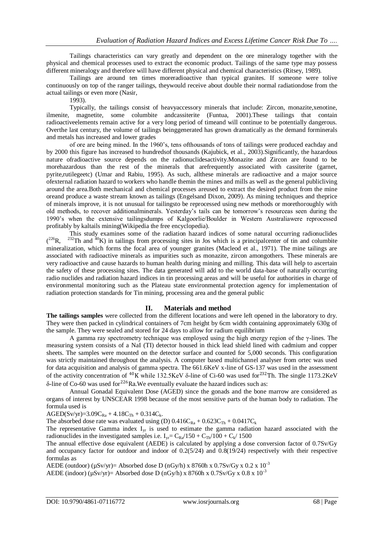Tailings characteristics can vary greatly and dependent on the ore mineralogy together with the physical and chemical processes used to extract the economic product. Tailings of the same type may possess different mineralogy and therefore will have different physical and chemical characteristics (Ritsey, 1989).

Tailings are around ten times moreradioactive than typical granites. If someone were tolive continuously on top of the ranger tailings, theywould receive about double their normal radiationdose from the actual tailings or even more (Nasir,

1993).

Typically, the tailings consist of heavyaccessory minerals that include: Zircon, monazite,xenotine, ilmenite, magnetite, some columbite andcassiterite (Funtua, 2001).These tailings that contain radioactiveelements remain active for a very long period of timeand will continue to be potentially dangerous. Overthe last century, the volume of tailings beinggenerated has grown dramatically as the demand forminerals and metals has increased and lower grades

of ore are being mined. In the 1960's, tens ofthousands of tons of tailings were produced eachday and by 2000 this figure has increased to hundredsof thousands (Kajubick, et al., 2003).Significantly, the hazardous nature ofradioactive source depends on the radionuclidesactivity.Monazite and Zircon are found to be morehazardous than the rest of the minerals that arefrequently associated with cassiterite (garnet, pyrite,rutilegeetc) (Umar and Rabiu, 1995). As such, allthese minerals are radioactive and a major source ofexternal radiation hazard to workers who handle themin the mines and mills as well as the general publicliving around the area.Both mechanical and chemical processes areused to extract the desired product from the mine oreand produce a waste stream known as tailings (Engelsand Dixon, 2009). As mining techniques and theprice of minerals improve, it is not unusual for tailingsto be reprocessed using new methods or morethoroughly with old methods, to recover additionalminerals. Yesterday's tails can be tomorrow's resourceas seen during the 1990's when the extensive tailingsdumps of Kalgoorlie/Boulder in Western Australiawere reprocessed profitably by kaltails mining(Wikipedia the free encyclopedia).

This study examines some of the radiation hazard indices of some natural occurring radionuclides  $(^{226}R.$  $^{232}$ Th and  $^{40}$ K) in tailings from processing sites in Jos which is a principalcenter of tin and columbite mineralization, which forms the focal area of younger granites (Macleod et al., 1971). The mine tailings are associated with radioactive minerals as impurities such as monazite, zircon amongothers. These minerals are very radioactive and cause hazards to human health during mining and milling. This data will help to ascertain the safety of these processing sites. The data generated will add to the world data-base of naturally occurring radio nuclides and radiation hazard indices in tin processing areas and will be useful for authorities in charge of environmental monitoring such as the Plateau state environmental protection agency for implementation of radiation protection standards for Tin mining, processing area and the general public

### **II. Materials and method**

**The tailings samples** were collected from the different locations and were left opened in the laboratory to dry. They were then packed in cylindrical containers of 7cm height by 6cm width containing approximately 630g of the sample. They were sealed and stored for 24 days to allow for radium equilibrium

A gamma ray spectrometry technique was employed using the high energy region of the  $\gamma$ -lines. The measuring system consists of a NaI (TI) detector housed in thick lead shield lined with cadmium and copper sheets. The samples were mounted on the detector surface and counted for 5,000 seconds. This configuration was strictly maintained throughout the analysis. A computer based multichannel analyser from ortec was used for data acquisition and analysis of gamma spectra. The 661.6KeV x-line of GS-137 was used in the assessment of the activity concentration of <sup>40</sup>K while 132.5KeV  $\delta$ -line of Ci-60 was used for<sup>232</sup>Th. The single 1173.2KeV δ-line of Co-60 was used for  $226$  Ra. We eventually evaluate the hazard indices such as:

Annual Gonadal Equivalent Dose (AGED) since the gonads and the bone marrow are considered as organs of interest by UNSCEAR 1998 because of the most sensitive parts of the human body to radiation. The formula used is

 $AGED(Sv/yr)=3.09C_{Ra} + 4.18C_{Th} + 0.314C_k.$ 

The absorbed dose rate was evaluated using (D)  $0.416C_{Ra} + 0.623C_{Th} + 0.0417C_k$ 

The representative Gamma index  $I_{vr}$  is used to estimate the gamma radiation hazard associated with the radionuclides in the investigated samples i.e.  $I_{vr} = C_{Ra}/150 + C_{Th}/100 + C_{k}/1500$ 

The annual effective dose equivalent (AEDE) is calculated by applying a dose conversion factor of 0.7Sv/Gy and occupancy factor for outdoor and indoor of  $0.2(5/24)$  and  $0.8(19/24)$  respectively with their respective formulas as

AEDE (outdoor) ( $\mu$ Sv/yr)= Absorbed dose D (nGy/h) x 8760h x 0.7Sv/Gy x 0.2 x 10<sup>-3</sup>

AEDE (indoor) ( $\mu$ Sv/yr)= Absorbed dose D (nGy/h) x 8760h x 0.7Sv/Gy x 0.8 x 10<sup>-3</sup>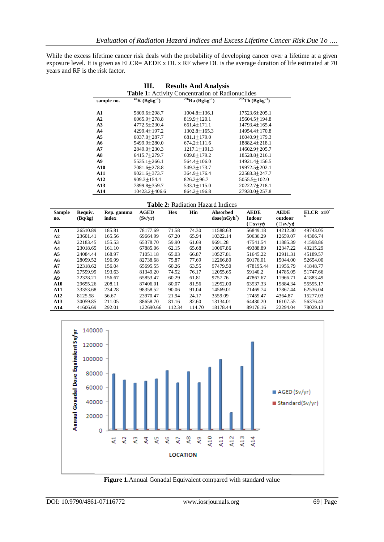While the excess lifetime cancer risk deals with the probability of developing cancer over a lifetime at a given exposure level. It is given as ELCR= AEDE x DL x RF where DL is the average duration of life estimated at 70 years and RF is the risk factor.

|                                                  |                                            | <i><b>Restarts Tring Tringly Sip</b></i> |                                            |  |  |  |  |  |
|--------------------------------------------------|--------------------------------------------|------------------------------------------|--------------------------------------------|--|--|--|--|--|
| Table 1: Activity Concentration of Radionuclides |                                            |                                          |                                            |  |  |  |  |  |
| sample no.                                       | $40\overline{\rm K}$ (Bgkg <sup>-1</sup> ) | $\sqrt[226]{Ra (Bgkg^{-1})}$             | $\sqrt[232]{\text{Th} (\text{Bgkg}^{-1})}$ |  |  |  |  |  |
|                                                  |                                            |                                          |                                            |  |  |  |  |  |
| A1                                               | 5809.6±298.7                               | $1004.8 \pm 136.1$                       | 17523.6±205.1                              |  |  |  |  |  |
| A2                                               | $6065.9 \pm 278.8$                         | 819.9±120.1                              | $15604.5 \pm 194.8$                        |  |  |  |  |  |
| A <sub>3</sub>                                   | 4772.5±230.4                               | $661.4 \pm 171.1$                        | 14793.4±165.4                              |  |  |  |  |  |
| A <sub>4</sub>                                   | 4299.4+197.2                               | $1302.8 + 165.3$                         | 14954.4+170.8                              |  |  |  |  |  |
| A <sub>5</sub>                                   | 6037.0+287.7                               | $681.1 + 179.0$                          | 16040.9+179.3                              |  |  |  |  |  |
| A6                                               | 5499.9+280.0                               | $674.2 + 111.6$                          | 18882.4±218.1                              |  |  |  |  |  |
| A7                                               | 2849.0±230.3                               | $1217.1 \pm 191.3$                       | 14602.9±205.7                              |  |  |  |  |  |
| A8                                               | 6415.7+279.7                               | $609.8 + 179.2$                          | 18528.8±216.1                              |  |  |  |  |  |
| A9                                               | $5535.1 \pm 266.1$                         | $564.4 + 106.0$                          | 14921.4+156.5                              |  |  |  |  |  |
| A10                                              | 7081.6+278.8                               | 549.3+173.7                              | 19972.5+202.1                              |  |  |  |  |  |
| <b>A11</b>                                       | 9021.6±373.7                               | 364.9±176.4                              | 22583.3±247.7                              |  |  |  |  |  |
| A12                                              | 909.3±154.4                                | $826.2 \pm 96.7$                         | $5055.5 \pm 102.0$                         |  |  |  |  |  |
| A13                                              | 7899.8±359.7                               | $533.1 \pm 115.0$                        | 20222.7±218.1                              |  |  |  |  |  |
| A14                                              | $10423.2+406.6$                            | $864.2 + 196.8$                          | 27930.0+257.8                              |  |  |  |  |  |

|     | III. |  |  |  | <b>Results And Analysis</b> |  |
|-----|------|--|--|--|-----------------------------|--|
| . . |      |  |  |  |                             |  |

**Table 2:** Radiation Hazard Indices

| <b>Sample</b>  | Requiv.  | Rep. gamma | <b>AGED</b> | Hex    | Hin    | Absorbed                 | <b>AEDE</b>    | <b>AEDE</b>    | $ELCR X10^-$ |
|----------------|----------|------------|-------------|--------|--------|--------------------------|----------------|----------------|--------------|
| no.            | (Bq/kg)  | index      | (Sv/yr)     |        |        | dose(nGvh <sup>1</sup> ) | <b>Indoor</b>  | outdoor        | 6            |
|                |          |            |             |        |        |                          | $(\Box$ sv/yr) | $(\Box$ sv/yr) |              |
| A1             | 26510.89 | 185.81     | 78177.69    | 71.58  | 74.30  | 11588.63                 | 56849.18       | 14212.30       | 49743.05     |
| A2             | 23601.41 | 165.56     | 69664.99    | 67.20  | 65.94  | 10322.14                 | 50636.29       | 12659.07       | 44306.74     |
| A <sub>3</sub> | 22183.45 | 155.53     | 65378.70    | 59.90  | 61.69  | 9691.28                  | 47541.54       | 11885.39       | 41598.86     |
| A <sub>4</sub> | 23018.65 | 161.10     | 67885.06    | 62.15  | 65.68  | 10067.86                 | 49388.89       | 12347.22       | 43215.29     |
| A <sub>5</sub> | 24084.44 | 168.97     | 71051.18    | 65.03  | 66.87  | 10527.81                 | 51645.22       | 12911.31       | 45189.57     |
| A6             | 28099.52 | 196.99     | 82738.68    | 75.87  | 77.69  | 12266.80                 | 60176.01       | 15044.00       | 52654.00     |
| A7             | 22318.62 | 156.04     | 65695.55    | 60.26  | 63.55  | 97479.50                 | 478195.44      | 11956.79       | 41848.77     |
| A8             | 27599.99 | 193.63     | 81349.20    | 74.52  | 76.17  | 12055.65                 | 59140.2        | 14785.05       | 51747.66     |
| A9             | 22328.21 | 156.67     | 65853.47    | 60.29  | 61.81  | 9757.76                  | 47867.67       | 11966.71       | 41883.49     |
| ${\bf A10}$    | 29655.26 | 208.11     | 87406.01    | 80.07  | 81.56  | 12952.00                 | 63537.33       | 15884.34       | 55595.17     |
| A11            | 33353.68 | 234.28     | 98358.52    | 90.06  | 91.04  | 14569.01                 | 71469.74       | 17867.44       | 62536.04     |
| A12            | 8125.58  | 56.67      | 23970.47    | 21.94  | 24.17  | 3559.09                  | 17459.47       | 4364.87        | 15277.03     |
| A13            | 30059.85 | 211.05     | 88658.70    | 81.16  | 82.60  | 13134.01                 | 64430.20       | 16107.55       | 56376.43     |
| A14            | 41606.69 | 292.01     | 122690.66   | 112.34 | 114.70 | 18178.44                 | 89176.16       | 22294.04       | 78029.13     |



**Figure 1.**Annual Gonadal Equivalent compared with standard value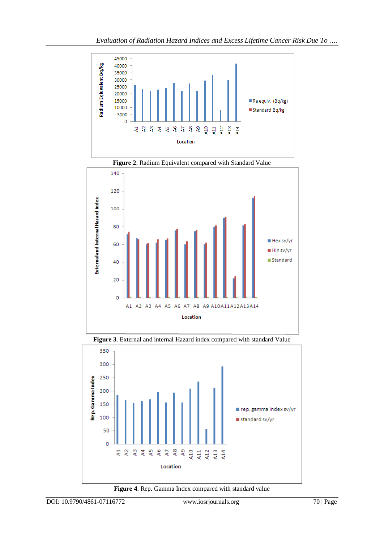



**Figure 2**. Radium Equivalent compared with Standard Value





**Figure 4**. Rep. Gamma Index compared with standard value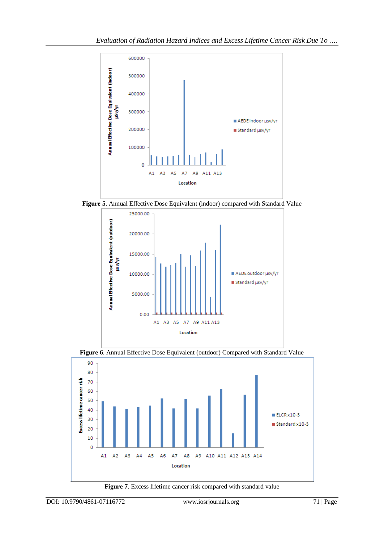





**Figure 6**. Annual Effective Dose Equivalent (outdoor) Compared with Standard Value